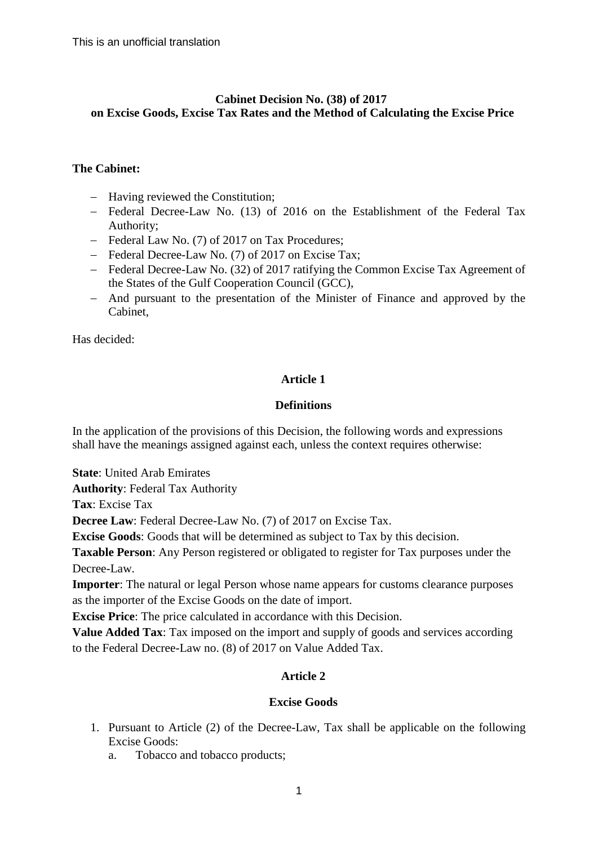# **Cabinet Decision No. (38) of 2017 on Excise Goods, Excise Tax Rates and the Method of Calculating the Excise Price**

# **The Cabinet:**

- Having reviewed the Constitution;
- Federal Decree-Law No. (13) of 2016 on the Establishment of the Federal Tax Authority;
- Federal Law No. (7) of 2017 on Tax Procedures:
- Federal Decree-Law No. (7) of 2017 on Excise Tax;
- Federal Decree-Law No. (32) of 2017 ratifying the Common Excise Tax Agreement of the States of the Gulf Cooperation Council (GCC),
- And pursuant to the presentation of the Minister of Finance and approved by the Cabinet,

Has decided:

# **Article 1**

## **Definitions**

In the application of the provisions of this Decision, the following words and expressions shall have the meanings assigned against each, unless the context requires otherwise:

**State**: United Arab Emirates

**Authority**: Federal Tax Authority

**Tax**: Excise Tax

**Decree Law**: Federal Decree-Law No. (7) of 2017 on Excise Tax.

**Excise Goods**: Goods that will be determined as subject to Tax by this decision.

**Taxable Person**: Any Person registered or obligated to register for Tax purposes under the Decree-Law.

**Importer**: The natural or legal Person whose name appears for customs clearance purposes as the importer of the Excise Goods on the date of import.

**Excise Price**: The price calculated in accordance with this Decision.

**Value Added Tax**: Tax imposed on the import and supply of goods and services according to the Federal Decree-Law no. (8) of 2017 on Value Added Tax.

# **Article 2**

# **Excise Goods**

- 1. Pursuant to Article (2) of the Decree-Law, Tax shall be applicable on the following Excise Goods:
	- a. Tobacco and tobacco products;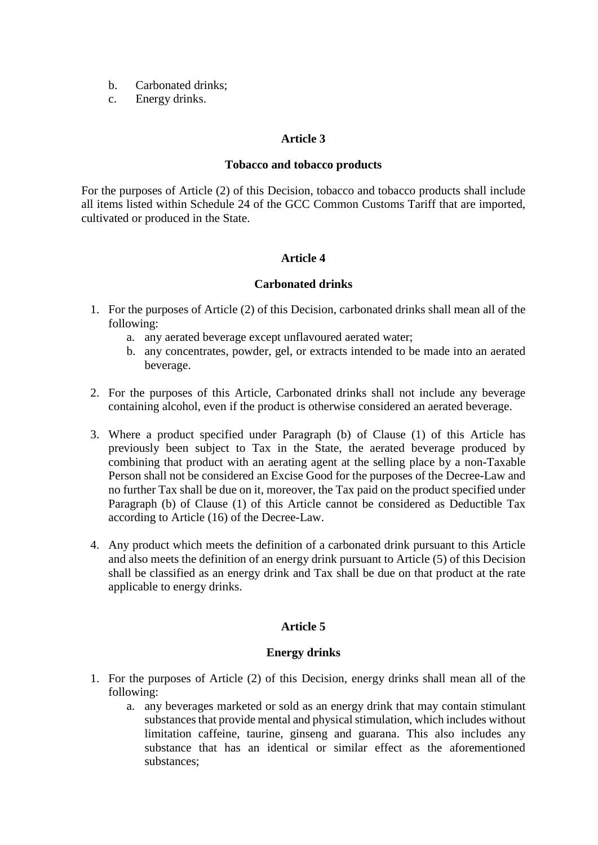- b. Carbonated drinks;
- c. Energy drinks.

## **Article 3**

#### **Tobacco and tobacco products**

For the purposes of Article (2) of this Decision, tobacco and tobacco products shall include all items listed within Schedule 24 of the GCC Common Customs Tariff that are imported, cultivated or produced in the State.

### **Article 4**

## **Carbonated drinks**

- 1. For the purposes of Article (2) of this Decision, carbonated drinks shall mean all of the following:
	- a. any aerated beverage except unflavoured aerated water;
	- b. any concentrates, powder, gel, or extracts intended to be made into an aerated beverage.
- 2. For the purposes of this Article, Carbonated drinks shall not include any beverage containing alcohol, even if the product is otherwise considered an aerated beverage.
- 3. Where a product specified under Paragraph (b) of Clause (1) of this Article has previously been subject to Tax in the State, the aerated beverage produced by combining that product with an aerating agent at the selling place by a non-Taxable Person shall not be considered an Excise Good for the purposes of the Decree-Law and no further Tax shall be due on it, moreover, the Tax paid on the product specified under Paragraph (b) of Clause (1) of this Article cannot be considered as Deductible Tax according to Article (16) of the Decree-Law.
- 4. Any product which meets the definition of a carbonated drink pursuant to this Article and also meets the definition of an energy drink pursuant to Article (5) of this Decision shall be classified as an energy drink and Tax shall be due on that product at the rate applicable to energy drinks.

### **Article 5**

### **Energy drinks**

- 1. For the purposes of Article (2) of this Decision, energy drinks shall mean all of the following:
	- a. any beverages marketed or sold as an energy drink that may contain stimulant substances that provide mental and physical stimulation, which includes without limitation caffeine, taurine, ginseng and guarana. This also includes any substance that has an identical or similar effect as the aforementioned substances;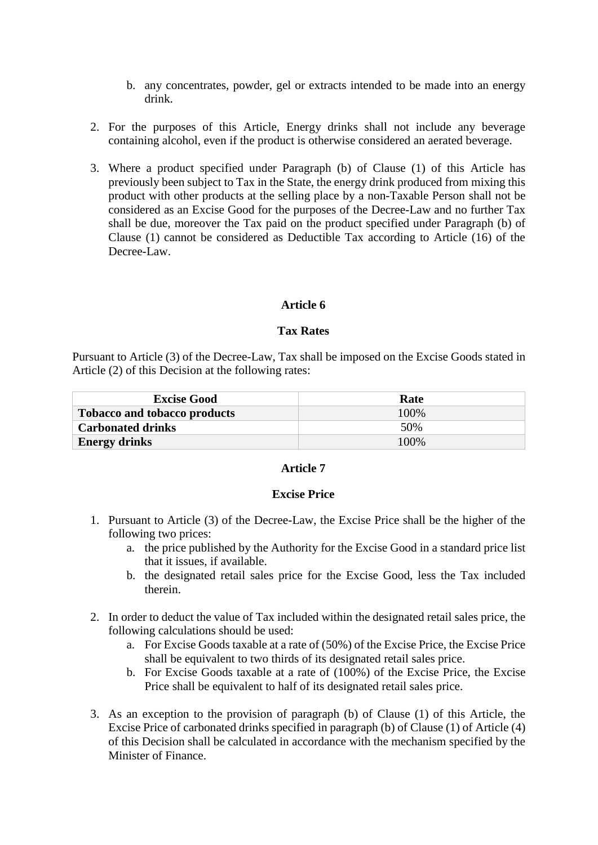- b. any concentrates, powder, gel or extracts intended to be made into an energy drink.
- 2. For the purposes of this Article, Energy drinks shall not include any beverage containing alcohol, even if the product is otherwise considered an aerated beverage.
- 3. Where a product specified under Paragraph (b) of Clause (1) of this Article has previously been subject to Tax in the State, the energy drink produced from mixing this product with other products at the selling place by a non-Taxable Person shall not be considered as an Excise Good for the purposes of the Decree-Law and no further Tax shall be due, moreover the Tax paid on the product specified under Paragraph (b) of Clause (1) cannot be considered as Deductible Tax according to Article (16) of the Decree-Law.

### **Article 6**

#### **Tax Rates**

Pursuant to Article (3) of the Decree-Law, Tax shall be imposed on the Excise Goods stated in Article (2) of this Decision at the following rates:

| <b>Excise Good</b>                  | Rate  |
|-------------------------------------|-------|
| <b>Tobacco and tobacco products</b> | 100\% |
| <b>Carbonated drinks</b>            | 50%   |
| <b>Energy drinks</b>                | 100%  |

### **Article 7**

#### **Excise Price**

- 1. Pursuant to Article (3) of the Decree-Law, the Excise Price shall be the higher of the following two prices:
	- a. the price published by the Authority for the Excise Good in a standard price list that it issues, if available.
	- b. the designated retail sales price for the Excise Good, less the Tax included therein.
- 2. In order to deduct the value of Tax included within the designated retail sales price, the following calculations should be used:
	- a. For Excise Goods taxable at a rate of (50%) of the Excise Price, the Excise Price shall be equivalent to two thirds of its designated retail sales price.
	- b. For Excise Goods taxable at a rate of (100%) of the Excise Price, the Excise Price shall be equivalent to half of its designated retail sales price.
- 3. As an exception to the provision of paragraph (b) of Clause (1) of this Article, the Excise Price of carbonated drinks specified in paragraph (b) of Clause (1) of Article (4) of this Decision shall be calculated in accordance with the mechanism specified by the Minister of Finance.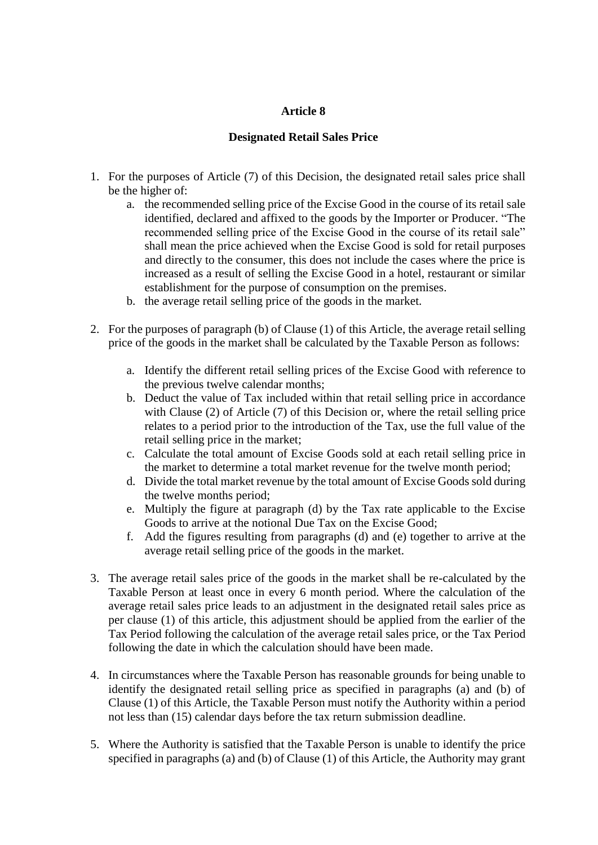## **Article 8**

# **Designated Retail Sales Price**

- 1. For the purposes of Article (7) of this Decision, the designated retail sales price shall be the higher of:
	- a. the recommended selling price of the Excise Good in the course of its retail sale identified, declared and affixed to the goods by the Importer or Producer. "The recommended selling price of the Excise Good in the course of its retail sale" shall mean the price achieved when the Excise Good is sold for retail purposes and directly to the consumer, this does not include the cases where the price is increased as a result of selling the Excise Good in a hotel, restaurant or similar establishment for the purpose of consumption on the premises.
	- b. the average retail selling price of the goods in the market.
- 2. For the purposes of paragraph (b) of Clause (1) of this Article, the average retail selling price of the goods in the market shall be calculated by the Taxable Person as follows:
	- a. Identify the different retail selling prices of the Excise Good with reference to the previous twelve calendar months;
	- b. Deduct the value of Tax included within that retail selling price in accordance with Clause (2) of Article (7) of this Decision or, where the retail selling price relates to a period prior to the introduction of the Tax, use the full value of the retail selling price in the market;
	- c. Calculate the total amount of Excise Goods sold at each retail selling price in the market to determine a total market revenue for the twelve month period;
	- d. Divide the total market revenue by the total amount of Excise Goods sold during the twelve months period;
	- e. Multiply the figure at paragraph (d) by the Tax rate applicable to the Excise Goods to arrive at the notional Due Tax on the Excise Good;
	- f. Add the figures resulting from paragraphs (d) and (e) together to arrive at the average retail selling price of the goods in the market.
- 3. The average retail sales price of the goods in the market shall be re-calculated by the Taxable Person at least once in every 6 month period. Where the calculation of the average retail sales price leads to an adjustment in the designated retail sales price as per clause (1) of this article, this adjustment should be applied from the earlier of the Tax Period following the calculation of the average retail sales price, or the Tax Period following the date in which the calculation should have been made.
- 4. In circumstances where the Taxable Person has reasonable grounds for being unable to identify the designated retail selling price as specified in paragraphs (a) and (b) of Clause (1) of this Article, the Taxable Person must notify the Authority within a period not less than (15) calendar days before the tax return submission deadline.
- 5. Where the Authority is satisfied that the Taxable Person is unable to identify the price specified in paragraphs (a) and (b) of Clause (1) of this Article, the Authority may grant